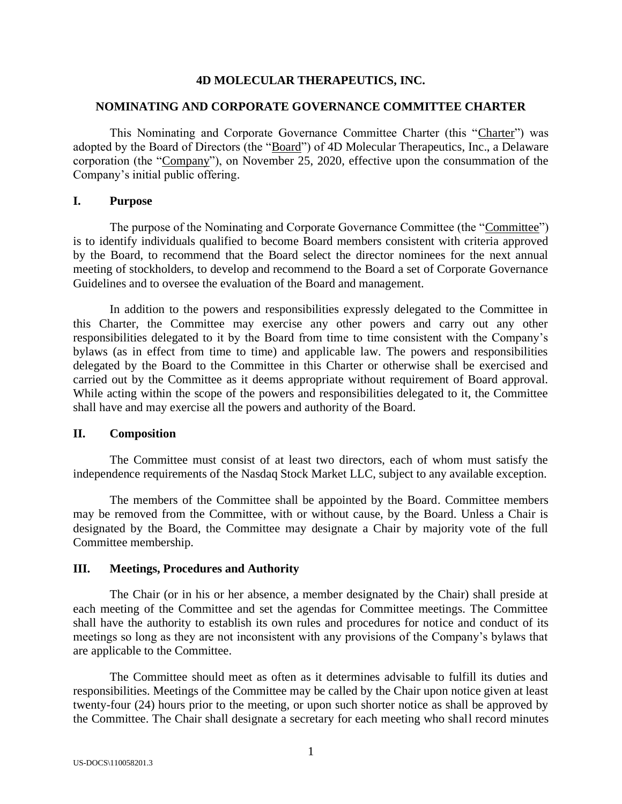### **4D MOLECULAR THERAPEUTICS, INC.**

#### **NOMINATING AND CORPORATE GOVERNANCE COMMITTEE CHARTER**

This Nominating and Corporate Governance Committee Charter (this "Charter") was adopted by the Board of Directors (the "Board") of 4D Molecular Therapeutics, Inc., a Delaware corporation (the "Company"), on November 25, 2020, effective upon the consummation of the Company's initial public offering.

### **I. Purpose**

The purpose of the Nominating and Corporate Governance Committee (the "Committee") is to identify individuals qualified to become Board members consistent with criteria approved by the Board, to recommend that the Board select the director nominees for the next annual meeting of stockholders, to develop and recommend to the Board a set of Corporate Governance Guidelines and to oversee the evaluation of the Board and management.

In addition to the powers and responsibilities expressly delegated to the Committee in this Charter, the Committee may exercise any other powers and carry out any other responsibilities delegated to it by the Board from time to time consistent with the Company's bylaws (as in effect from time to time) and applicable law. The powers and responsibilities delegated by the Board to the Committee in this Charter or otherwise shall be exercised and carried out by the Committee as it deems appropriate without requirement of Board approval. While acting within the scope of the powers and responsibilities delegated to it, the Committee shall have and may exercise all the powers and authority of the Board.

#### **II. Composition**

The Committee must consist of at least two directors, each of whom must satisfy the independence requirements of the Nasdaq Stock Market LLC, subject to any available exception.

The members of the Committee shall be appointed by the Board. Committee members may be removed from the Committee, with or without cause, by the Board. Unless a Chair is designated by the Board, the Committee may designate a Chair by majority vote of the full Committee membership.

#### **III. Meetings, Procedures and Authority**

The Chair (or in his or her absence, a member designated by the Chair) shall preside at each meeting of the Committee and set the agendas for Committee meetings. The Committee shall have the authority to establish its own rules and procedures for notice and conduct of its meetings so long as they are not inconsistent with any provisions of the Company's bylaws that are applicable to the Committee.

The Committee should meet as often as it determines advisable to fulfill its duties and responsibilities. Meetings of the Committee may be called by the Chair upon notice given at least twenty-four (24) hours prior to the meeting, or upon such shorter notice as shall be approved by the Committee. The Chair shall designate a secretary for each meeting who shall record minutes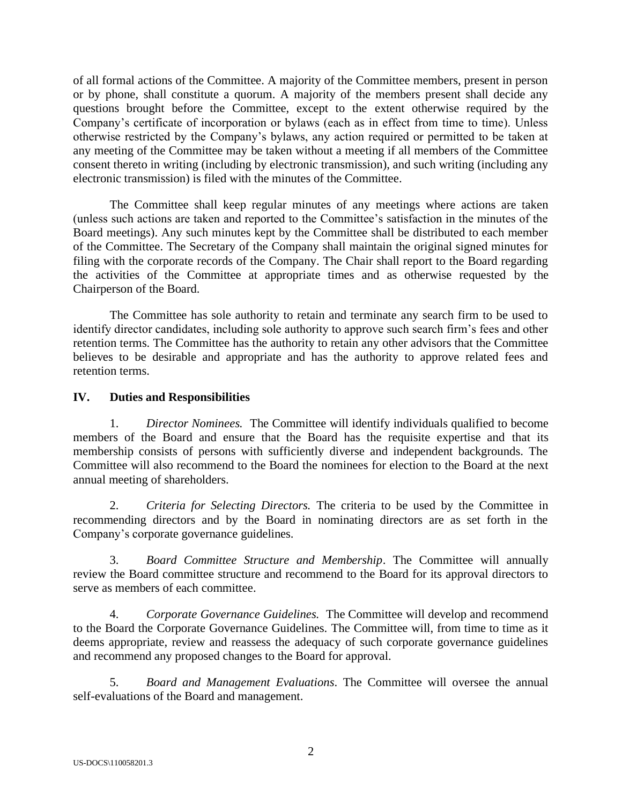of all formal actions of the Committee. A majority of the Committee members, present in person or by phone, shall constitute a quorum. A majority of the members present shall decide any questions brought before the Committee, except to the extent otherwise required by the Company's certificate of incorporation or bylaws (each as in effect from time to time). Unless otherwise restricted by the Company's bylaws, any action required or permitted to be taken at any meeting of the Committee may be taken without a meeting if all members of the Committee consent thereto in writing (including by electronic transmission), and such writing (including any electronic transmission) is filed with the minutes of the Committee.

The Committee shall keep regular minutes of any meetings where actions are taken (unless such actions are taken and reported to the Committee's satisfaction in the minutes of the Board meetings). Any such minutes kept by the Committee shall be distributed to each member of the Committee. The Secretary of the Company shall maintain the original signed minutes for filing with the corporate records of the Company. The Chair shall report to the Board regarding the activities of the Committee at appropriate times and as otherwise requested by the Chairperson of the Board.

The Committee has sole authority to retain and terminate any search firm to be used to identify director candidates, including sole authority to approve such search firm's fees and other retention terms. The Committee has the authority to retain any other advisors that the Committee believes to be desirable and appropriate and has the authority to approve related fees and retention terms.

# **IV. Duties and Responsibilities**

1. *Director Nominees.* The Committee will identify individuals qualified to become members of the Board and ensure that the Board has the requisite expertise and that its membership consists of persons with sufficiently diverse and independent backgrounds. The Committee will also recommend to the Board the nominees for election to the Board at the next annual meeting of shareholders.

2. *Criteria for Selecting Directors.* The criteria to be used by the Committee in recommending directors and by the Board in nominating directors are as set forth in the Company's corporate governance guidelines.

3. *Board Committee Structure and Membership*. The Committee will annually review the Board committee structure and recommend to the Board for its approval directors to serve as members of each committee.

4. *Corporate Governance Guidelines.* The Committee will develop and recommend to the Board the Corporate Governance Guidelines. The Committee will, from time to time as it deems appropriate, review and reassess the adequacy of such corporate governance guidelines and recommend any proposed changes to the Board for approval.

5. *Board and Management Evaluations*. The Committee will oversee the annual self-evaluations of the Board and management.